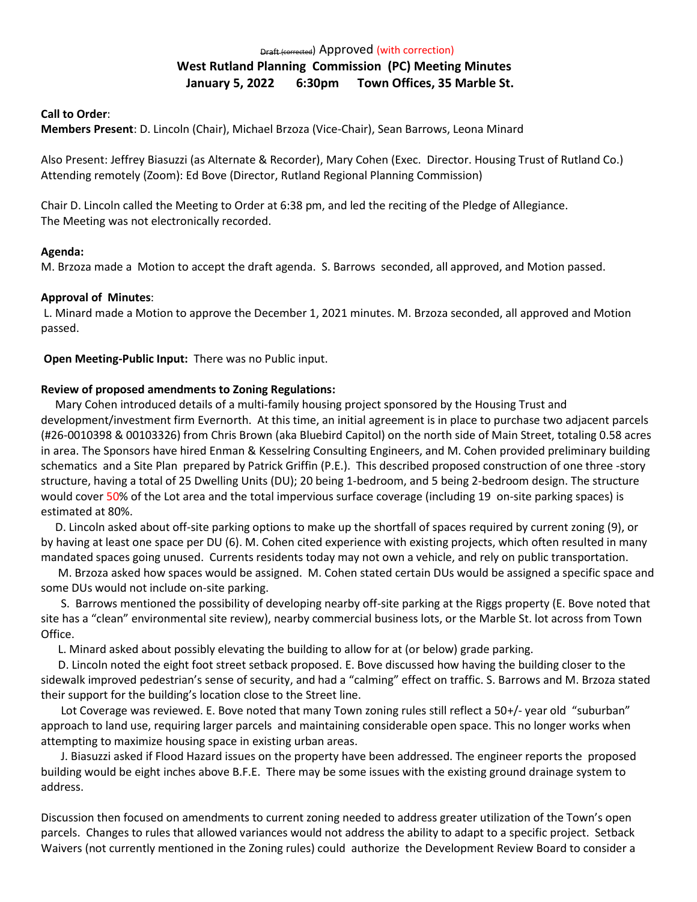# Draft (corrected) Approved (with correction) **West Rutland Planning Commission (PC) Meeting Minutes January 5, 2022 6:30pm Town Offices, 35 Marble St.**

#### **Call to Order**:

**Members Present**: D. Lincoln (Chair), Michael Brzoza (Vice-Chair), Sean Barrows, Leona Minard

Also Present: Jeffrey Biasuzzi (as Alternate & Recorder), Mary Cohen (Exec. Director. Housing Trust of Rutland Co.) Attending remotely (Zoom): Ed Bove (Director, Rutland Regional Planning Commission)

Chair D. Lincoln called the Meeting to Order at 6:38 pm, and led the reciting of the Pledge of Allegiance. The Meeting was not electronically recorded.

## **Agenda:**

M. Brzoza made a Motion to accept the draft agenda. S. Barrows seconded, all approved, and Motion passed.

### **Approval of Minutes**:

 L. Minard made a Motion to approve the December 1, 2021 minutes. M. Brzoza seconded, all approved and Motion passed.

**Open Meeting-Public Input:** There was no Public input.

### **Review of proposed amendments to Zoning Regulations:**

 Mary Cohen introduced details of a multi-family housing project sponsored by the Housing Trust and development/investment firm Evernorth. At this time, an initial agreement is in place to purchase two adjacent parcels (#26-0010398 & 00103326) from Chris Brown (aka Bluebird Capitol) on the north side of Main Street, totaling 0.58 acres in area. The Sponsors have hired Enman & Kesselring Consulting Engineers, and M. Cohen provided preliminary building schematics and a Site Plan prepared by Patrick Griffin (P.E.). This described proposed construction of one three -story structure, having a total of 25 Dwelling Units (DU); 20 being 1-bedroom, and 5 being 2-bedroom design. The structure would cover 50% of the Lot area and the total impervious surface coverage (including 19 on-site parking spaces) is estimated at 80%.

 D. Lincoln asked about off-site parking options to make up the shortfall of spaces required by current zoning (9), or by having at least one space per DU (6). M. Cohen cited experience with existing projects, which often resulted in many mandated spaces going unused. Currents residents today may not own a vehicle, and rely on public transportation.

 M. Brzoza asked how spaces would be assigned. M. Cohen stated certain DUs would be assigned a specific space and some DUs would not include on-site parking.

 S. Barrows mentioned the possibility of developing nearby off-site parking at the Riggs property (E. Bove noted that site has a "clean" environmental site review), nearby commercial business lots, or the Marble St. lot across from Town Office.

L. Minard asked about possibly elevating the building to allow for at (or below) grade parking.

 D. Lincoln noted the eight foot street setback proposed. E. Bove discussed how having the building closer to the sidewalk improved pedestrian's sense of security, and had a "calming" effect on traffic. S. Barrows and M. Brzoza stated their support for the building's location close to the Street line.

 Lot Coverage was reviewed. E. Bove noted that many Town zoning rules still reflect a 50+/- year old "suburban" approach to land use, requiring larger parcels and maintaining considerable open space. This no longer works when attempting to maximize housing space in existing urban areas.

 J. Biasuzzi asked if Flood Hazard issues on the property have been addressed. The engineer reports the proposed building would be eight inches above B.F.E. There may be some issues with the existing ground drainage system to address.

Discussion then focused on amendments to current zoning needed to address greater utilization of the Town's open parcels. Changes to rules that allowed variances would not address the ability to adapt to a specific project. Setback Waivers (not currently mentioned in the Zoning rules) could authorize the Development Review Board to consider a